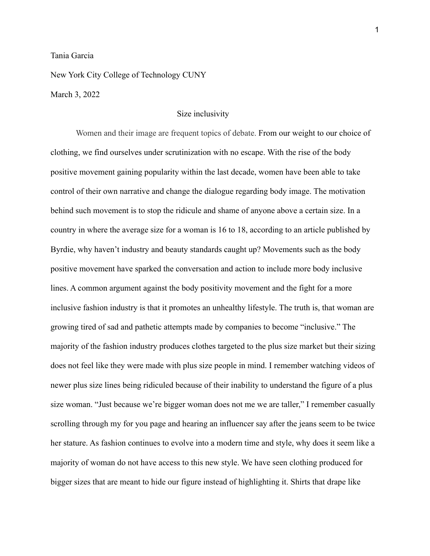## Tania Garcia

New York City College of Technology CUNY March 3, 2022

## Size inclusivity

Women and their image are frequent topics of debate. From our weight to our choice of clothing, we find ourselves under scrutinization with no escape. With the rise of the body positive movement gaining popularity within the last decade, women have been able to take control of their own narrative and change the dialogue regarding body image. The motivation behind such movement is to stop the ridicule and shame of anyone above a certain size. In a country in where the average size for a woman is 16 to 18, according to an article published by Byrdie, why haven't industry and beauty standards caught up? Movements such as the body positive movement have sparked the conversation and action to include more body inclusive lines. A common argument against the body positivity movement and the fight for a more inclusive fashion industry is that it promotes an unhealthy lifestyle. The truth is, that woman are growing tired of sad and pathetic attempts made by companies to become "inclusive." The majority of the fashion industry produces clothes targeted to the plus size market but their sizing does not feel like they were made with plus size people in mind. I remember watching videos of newer plus size lines being ridiculed because of their inability to understand the figure of a plus size woman. "Just because we're bigger woman does not me we are taller," I remember casually scrolling through my for you page and hearing an influencer say after the jeans seem to be twice her stature. As fashion continues to evolve into a modern time and style, why does it seem like a majority of woman do not have access to this new style. We have seen clothing produced for bigger sizes that are meant to hide our figure instead of highlighting it. Shirts that drape like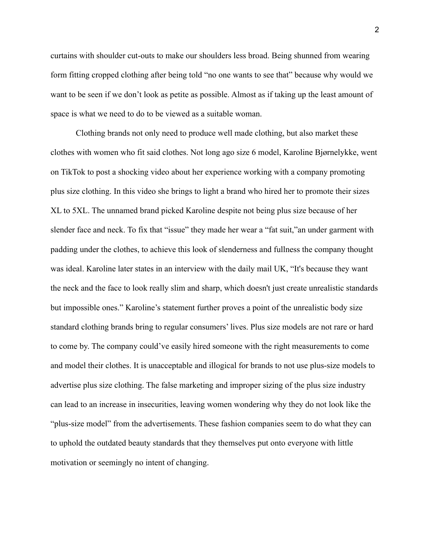curtains with shoulder cut-outs to make our shoulders less broad. Being shunned from wearing form fitting cropped clothing after being told "no one wants to see that" because why would we want to be seen if we don't look as petite as possible. Almost as if taking up the least amount of space is what we need to do to be viewed as a suitable woman.

Clothing brands not only need to produce well made clothing, but also market these clothes with women who fit said clothes. Not long ago size 6 model, Karoline Bjørnelykke, went on TikTok to post a shocking video about her experience working with a company promoting plus size clothing. In this video she brings to light a brand who hired her to promote their sizes XL to 5XL. The unnamed brand picked Karoline despite not being plus size because of her slender face and neck. To fix that "issue" they made her wear a "fat suit,"an under garment with padding under the clothes, to achieve this look of slenderness and fullness the company thought was ideal. Karoline later states in an interview with the daily mail UK, "It's because they want the neck and the face to look really slim and sharp, which doesn't just create unrealistic standards but impossible ones." Karoline's statement further proves a point of the unrealistic body size standard clothing brands bring to regular consumers' lives. Plus size models are not rare or hard to come by. The company could've easily hired someone with the right measurements to come and model their clothes. It is unacceptable and illogical for brands to not use plus-size models to advertise plus size clothing. The false marketing and improper sizing of the plus size industry can lead to an increase in insecurities, leaving women wondering why they do not look like the "plus-size model" from the advertisements. These fashion companies seem to do what they can to uphold the outdated beauty standards that they themselves put onto everyone with little motivation or seemingly no intent of changing.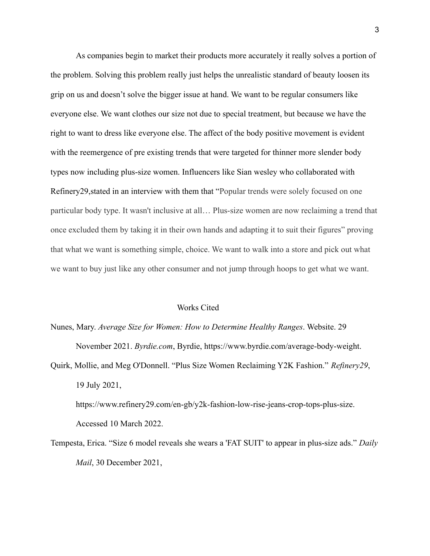As companies begin to market their products more accurately it really solves a portion of the problem. Solving this problem really just helps the unrealistic standard of beauty loosen its grip on us and doesn't solve the bigger issue at hand. We want to be regular consumers like everyone else. We want clothes our size not due to special treatment, but because we have the right to want to dress like everyone else. The affect of the body positive movement is evident with the reemergence of pre existing trends that were targeted for thinner more slender body types now including plus-size women. Influencers like Sian wesley who collaborated with Refinery29,stated in an interview with them that "Popular trends were solely focused on one particular body type. It wasn't inclusive at all… Plus-size women are now reclaiming a trend that once excluded them by taking it in their own hands and adapting it to suit their figures" proving that what we want is something simple, choice. We want to walk into a store and pick out what we want to buy just like any other consumer and not jump through hoops to get what we want.

## Works Cited

Nunes, Mary. *Average Size for Women: How to Determine Healthy Ranges*. Website. 29 November 2021. *Byrdie.com*, Byrdie, https://www.byrdie.com/average-body-weight. Quirk, Mollie, and Meg O'Donnell. "Plus Size Women Reclaiming Y2K Fashion." *Refinery29*, 19 July 2021,

https://www.refinery29.com/en-gb/y2k-fashion-low-rise-jeans-crop-tops-plus-size. Accessed 10 March 2022.

Tempesta, Erica. "Size 6 model reveals she wears a 'FAT SUIT' to appear in plus-size ads." *Daily Mail*, 30 December 2021,